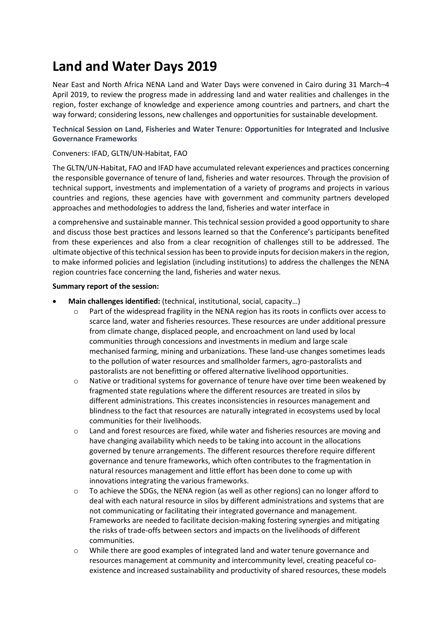# **Land and Water Days 2019**

Near East and North Africa NENA Land and Water Days were convened in Cairo during 31 March–4 April 2019, to review the progress made in addressing land and water realities and challenges in the region, foster exchange of knowledge and experience among countries and partners, and chart the way forward; considering lessons, new challenges and opportunities for sustainable development.

**Technical Session on Land, Fisheries and Water Tenure: Opportunities for Integrated and Inclusive Governance Frameworks**

## Conveners: IFAD, GLTN/UN-Habitat, FAO

The GLTN/UN-Habitat, FAO and IFAD have accumulated relevant experiences and practices concerning the responsible governance of tenure of land, fisheries and water resources. Through the provision of technical support, investments and implementation of a variety of programs and projects in various countries and regions, these agencies have with government and community partners developed approaches and methodologies to address the land, fisheries and water interface in

a comprehensive and sustainable manner. This technical session provided a good opportunity to share and discuss those best practices and lessons learned so that the Conference's participants benefited from these experiences and also from a clear recognition of challenges still to be addressed. The ultimate objective of this technical session has been to provide inputs for decision makers in the region, to make informed policies and legislation (including institutions) to address the challenges the NENA region countries face concerning the land, fisheries and water nexus.

#### **Summary report of the session:**

- **Main challenges identified:** (technical, institutional, social, capacity…)
	- o Part of the widespread fragility in the NENA region has its roots in conflicts over access to scarce land, water and fisheries resources. These resources are under additional pressure from climate change, displaced people, and encroachment on land used by local communities through concessions and investments in medium and large scale mechanised farming, mining and urbanizations. These land-use changes sometimes leads to the pollution of water resources and smallholder farmers, agro-pastoralists and pastoralists are not benefitting or offered alternative livelihood opportunities.
	- $\circ$  Native or traditional systems for governance of tenure have over time been weakened by fragmented state regulations where the different resources are treated in silos by different administrations. This creates inconsistencies in resources management and blindness to the fact that resources are naturally integrated in ecosystems used by local communities for their livelihoods.
	- o Land and forest resources are fixed, while water and fisheries resources are moving and have changing availability which needs to be taking into account in the allocations governed by tenure arrangements. The different resources therefore require different governance and tenure frameworks, which often contributes to the fragmentation in natural resources management and little effort has been done to come up with innovations integrating the various frameworks.
	- o To achieve the SDGs, the NENA region (as well as other regions) can no longer afford to deal with each natural resource in silos by different administrations and systems that are not communicating or facilitating their integrated governance and management. Frameworks are needed to facilitate decision-making fostering synergies and mitigating the risks of trade-offs between sectors and impacts on the livelihoods of different communities.
	- o While there are good examples of integrated land and water tenure governance and resources management at community and intercommunity level, creating peaceful coexistence and increased sustainability and productivity of shared resources, these models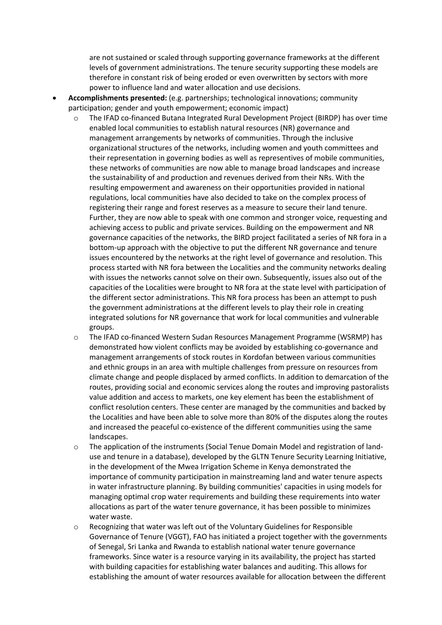are not sustained or scaled through supporting governance frameworks at the different levels of government administrations. The tenure security supporting these models are therefore in constant risk of being eroded or even overwritten by sectors with more power to influence land and water allocation and use decisions.

- **Accomplishments presented:** (e.g. partnerships; technological innovations; community participation; gender and youth empowerment; economic impact)
	- o The IFAD co-financed Butana Integrated Rural Development Project (BIRDP) has over time enabled local communities to establish natural resources (NR) governance and management arrangements by networks of communities. Through the inclusive organizational structures of the networks, including women and youth committees and their representation in governing bodies as well as representives of mobile communities, these networks of communities are now able to manage broad landscapes and increase the sustainability of and production and revenues derived from their NRs. With the resulting empowerment and awareness on their opportunities provided in national regulations, local communities have also decided to take on the complex process of registering their range and forest reserves as a measure to secure their land tenure. Further, they are now able to speak with one common and stronger voice, requesting and achieving access to public and private services. Building on the empowerment and NR governance capacities of the networks, the BIRD project facilitated a series of NR fora in a bottom-up approach with the objective to put the different NR governance and tenure issues encountered by the networks at the right level of governance and resolution. This process started with NR fora between the Localities and the community networks dealing with issues the networks cannot solve on their own. Subsequently, issues also out of the capacities of the Localities were brought to NR fora at the state level with participation of the different sector administrations. This NR fora process has been an attempt to push the government administrations at the different levels to play their role in creating integrated solutions for NR governance that work for local communities and vulnerable groups.
	- o The IFAD co-financed Western Sudan Resources Management Programme (WSRMP) has demonstrated how violent conflicts may be avoided by establishing co-governance and management arrangements of stock routes in Kordofan between various communities and ethnic groups in an area with multiple challenges from pressure on resources from climate change and people displaced by armed conflicts. In addition to demarcation of the routes, providing social and economic services along the routes and improving pastoralists value addition and access to markets, one key element has been the establishment of conflict resolution centers. These center are managed by the communities and backed by the Localities and have been able to solve more than 80% of the disputes along the routes and increased the peaceful co-existence of the different communities using the same landscapes.
	- o The application of the instruments (Social Tenue Domain Model and registration of landuse and tenure in a database), developed by the GLTN Tenure Security Learning Initiative, in the development of the Mwea Irrigation Scheme in Kenya demonstrated the importance of community participation in mainstreaming land and water tenure aspects in water infrastructure planning. By building communities' capacities in using models for managing optimal crop water requirements and building these requirements into water allocations as part of the water tenure governance, it has been possible to minimizes water waste.
	- $\circ$  Recognizing that water was left out of the Voluntary Guidelines for Responsible Governance of Tenure (VGGT), FAO has initiated a project together with the governments of Senegal, Sri Lanka and Rwanda to establish national water tenure governance frameworks. Since water is a resource varying in its availability, the project has started with building capacities for establishing water balances and auditing. This allows for establishing the amount of water resources available for allocation between the different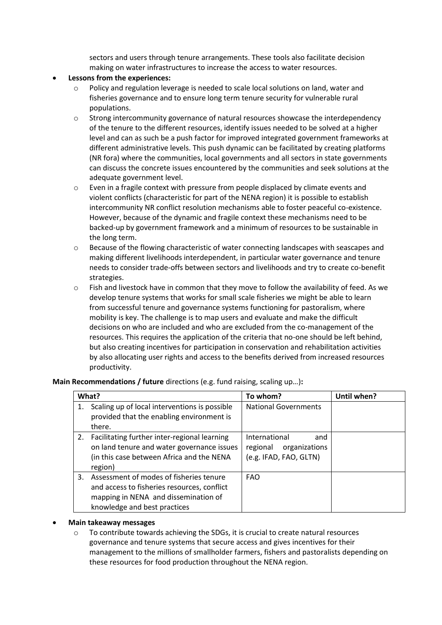sectors and users through tenure arrangements. These tools also facilitate decision making on water infrastructures to increase the access to water resources.

## • **Lessons from the experiences:**

- o Policy and regulation leverage is needed to scale local solutions on land, water and fisheries governance and to ensure long term tenure security for vulnerable rural populations.
- $\circ$  Strong intercommunity governance of natural resources showcase the interdependency of the tenure to the different resources, identify issues needed to be solved at a higher level and can as such be a push factor for improved integrated government frameworks at different administrative levels. This push dynamic can be facilitated by creating platforms (NR fora) where the communities, local governments and all sectors in state governments can discuss the concrete issues encountered by the communities and seek solutions at the adequate government level.
- o Even in a fragile context with pressure from people displaced by climate events and violent conflicts (characteristic for part of the NENA region) it is possible to establish intercommunity NR conflict resolution mechanisms able to foster peaceful co-existence. However, because of the dynamic and fragile context these mechanisms need to be backed-up by government framework and a minimum of resources to be sustainable in the long term.
- o Because of the flowing characteristic of water connecting landscapes with seascapes and making different livelihoods interdependent, in particular water governance and tenure needs to consider trade-offs between sectors and livelihoods and try to create co-benefit strategies.
- o Fish and livestock have in common that they move to follow the availability of feed. As we develop tenure systems that works for small scale fisheries we might be able to learn from successful tenure and governance systems functioning for pastoralism, where mobility is key. The challenge is to map users and evaluate and make the difficult decisions on who are included and who are excluded from the co-management of the resources. This requires the application of the criteria that no-one should be left behind, but also creating incentives for participation in conservation and rehabilitation activities by also allocating user rights and access to the benefits derived from increased resources productivity.

**Main Recommendations / future** directions (e.g. fund raising, scaling up…)**:**

| What? |                                                                                                                                                                | To whom?                                                                    | Until when? |
|-------|----------------------------------------------------------------------------------------------------------------------------------------------------------------|-----------------------------------------------------------------------------|-------------|
| 1.    | Scaling up of local interventions is possible<br>provided that the enabling environment is<br>there.                                                           | <b>National Governments</b>                                                 |             |
| 2.    | Facilitating further inter-regional learning<br>on land tenure and water governance issues<br>(in this case between Africa and the NENA<br>region)             | International<br>and<br>organizations<br>regional<br>(e.g. IFAD, FAO, GLTN) |             |
| 3.    | Assessment of modes of fisheries tenure<br>and access to fisheries resources, conflict<br>mapping in NENA and dissemination of<br>knowledge and best practices | <b>FAO</b>                                                                  |             |

#### • **Main takeaway messages**

 $\circ$  To contribute towards achieving the SDGs, it is crucial to create natural resources governance and tenure systems that secure access and gives incentives for their management to the millions of smallholder farmers, fishers and pastoralists depending on these resources for food production throughout the NENA region.